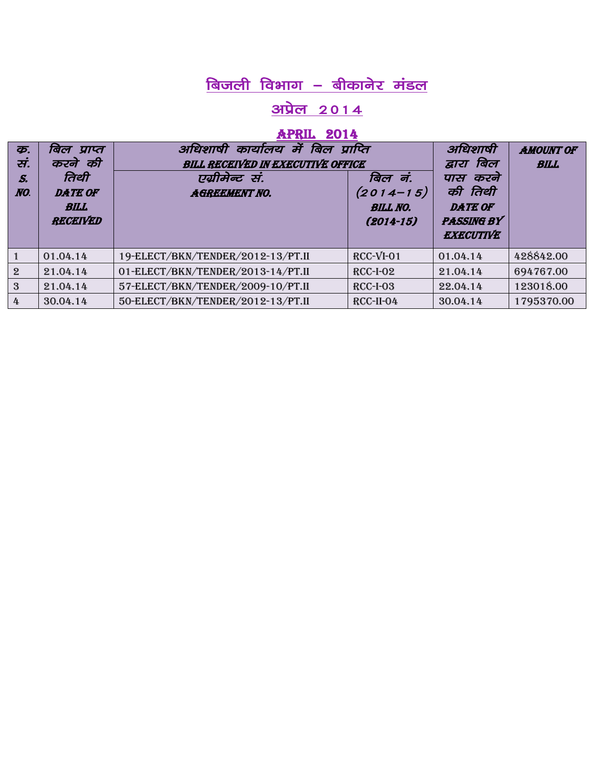#### <u>अप्रेल 2014</u>

#### APRIL 2014

| क्र.<br>सं.<br>S.<br>NO. | बिल प्राप्त<br>करने की<br>तिथी<br><b>DATE OF</b><br><b>BILL</b><br><b>RECEIVED</b> | कार्यालय में बिल प्राप्ति<br>अधिशाषी<br><b>BILL RECEIVED IN EXECUTIVE OFFICE</b><br>एग्रीमेन्ट सं.<br><b>AGREEMENT NO.</b> | बिल नं.<br>$(2014 - 15)$<br><b>BILL NO.</b><br>$(2014 - 15)$ | अधिशाषी<br>बिल<br>द्वारा<br>करने<br>पास<br>की तिथी<br><b>DATE OF</b><br><b>PASSING BY</b><br><b>EXECUTIVE</b> | <b>AMOUNT OF</b><br><b>BILL</b> |
|--------------------------|------------------------------------------------------------------------------------|----------------------------------------------------------------------------------------------------------------------------|--------------------------------------------------------------|---------------------------------------------------------------------------------------------------------------|---------------------------------|
|                          | 01.04.14                                                                           | 19-ELECT/BKN/TENDER/2012-13/PT.II                                                                                          | $RCC-VI-01$                                                  | 01.04.14                                                                                                      | 428842.00                       |
| $\overline{2}$           | 21.04.14                                                                           | 01-ELECT/BKN/TENDER/2013-14/PT.II                                                                                          | $RCC-I-02$                                                   | 21.04.14                                                                                                      | 694767.00                       |
| 3                        | 21.04.14                                                                           | 57-ELECT/BKN/TENDER/2009-10/PT.II                                                                                          | $RCC-I-03$                                                   | 22.04.14                                                                                                      | 123018.00                       |
| 4                        | 30.04.14                                                                           | 50-ELECT/BKN/TENDER/2012-13/PT.II                                                                                          | RCC-II-04                                                    | 30.04.14                                                                                                      | 1795370.00                      |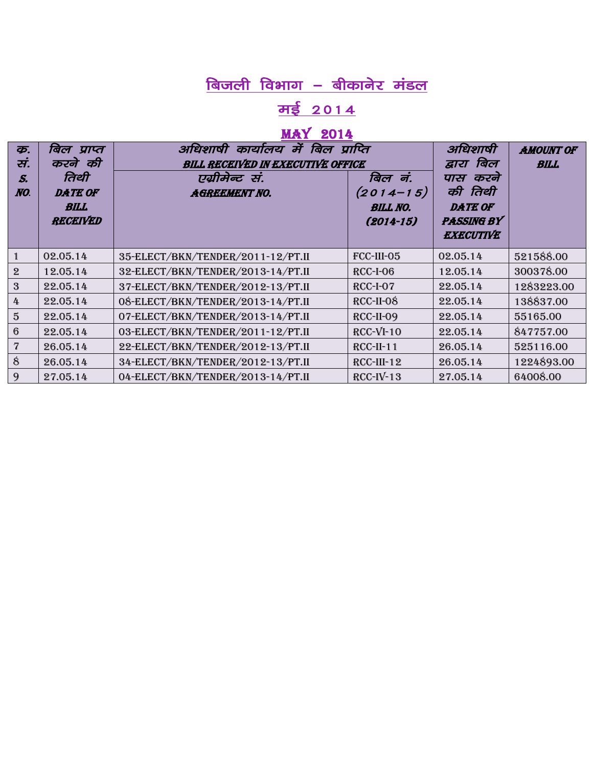# <u>मई 2014</u>

## May 2014

| த.<br>सं.<br>S.<br>NO. | बिल प्राप्त<br>करने की<br>तिथी<br><b>DATE OF</b><br><b>BILL</b><br><b>RECEIVED</b> | अधिशाषी कार्यालय में बिल प्राप्ति<br><b>BILL RECEIVED IN EXECUTIVE OFFICE</b><br>एग्रीमेन्ट सं.<br><b>AGREEMENT NO.</b> | बिल नं.<br>$(2014 - 15)$<br><b>BILL NO.</b><br>$(2014 - 15)$ | अधिशाषी<br>बिल<br>द्वारा<br>करने<br>पास<br>की तिथी<br><b>DATE OF</b><br><b>PASSING BY</b><br><b>EXECUTIVE</b> | <b>AMOUNT OF</b><br><b>BILL</b> |
|------------------------|------------------------------------------------------------------------------------|-------------------------------------------------------------------------------------------------------------------------|--------------------------------------------------------------|---------------------------------------------------------------------------------------------------------------|---------------------------------|
|                        | 02.05.14                                                                           | 35-ELECT/BKN/TENDER/2011-12/PT.II                                                                                       | FCC-III-05                                                   | 02.05.14                                                                                                      | 521588.00                       |
| $\overline{2}$         | 12.05.14                                                                           | 32-ELECT/BKN/TENDER/2013-14/PT.II                                                                                       | $RCC-I-06$                                                   | 12.05.14                                                                                                      | 300378.00                       |
| 3                      | 22.05.14                                                                           | 37-ELECT/BKN/TENDER/2012-13/PT.II                                                                                       | RCC-I-07                                                     | 22.05.14                                                                                                      | 1283223.00                      |
| 4                      | 22.05.14                                                                           | 08-ELECT/BKN/TENDER/2013-14/PT.II                                                                                       | RCC-II-08                                                    | 22.05.14                                                                                                      | 138837.00                       |
| $\overline{5}$         | 22.05.14                                                                           | 07-ELECT/BKN/TENDER/2013-14/PT.II                                                                                       | RCC-II-09                                                    | 22.05.14                                                                                                      | 55165.00                        |
| 6                      | 22.05.14                                                                           | 03-ELECT/BKN/TENDER/2011-12/PT.II                                                                                       | $RCC-VI-10$                                                  | 22.05.14                                                                                                      | 847757.00                       |
| 7                      | 26.05.14                                                                           | 22-ELECT/BKN/TENDER/2012-13/PT.II                                                                                       | <b>RCC-II-11</b>                                             | 26.05.14                                                                                                      | 525116.00                       |
| 8                      | 26.05.14                                                                           | 34-ELECT/BKN/TENDER/2012-13/PT.II                                                                                       | $RCC$ -III-12                                                | 26.05.14                                                                                                      | 1224893.00                      |
| 9                      | 27.05.14                                                                           | 04-ELECT/BKN/TENDER/2013-14/PT.II                                                                                       | $RCC-IV-13$                                                  | 27.05.14                                                                                                      | 64008.00                        |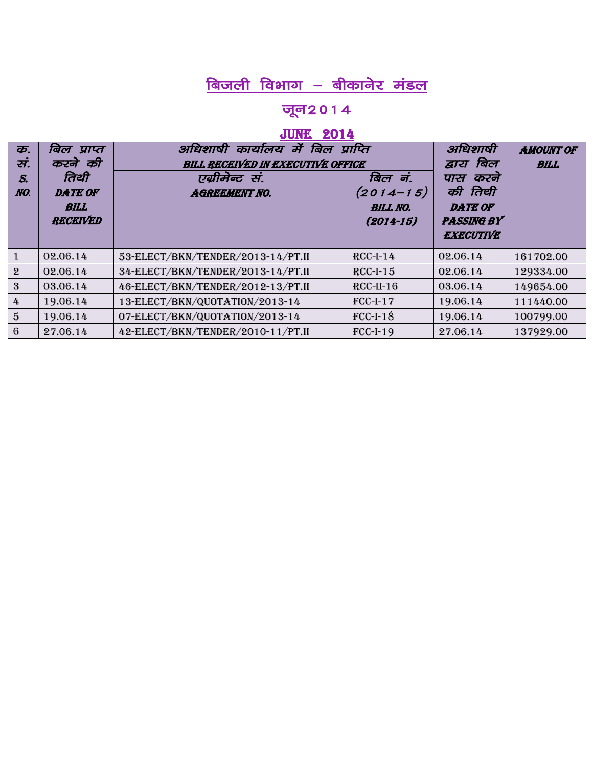# $\fbox{d}$ जली विभाग – बीकानेर मंडल

#### <u> जून2014</u>

#### **JUNE 2014**

| <b>कृ.</b>     | बिल प्राप्त     | कार्यालय में बिल प्राप्ति<br>अधिशाषी     |                 | अधिशाषी           | <b>AMOUNT OF</b> |
|----------------|-----------------|------------------------------------------|-----------------|-------------------|------------------|
| सं.            | करने की         | <b>BILL RECEIVED IN EXECUTIVE OFFICE</b> |                 | बिल<br>द्वारा     | <b>BILL</b>      |
| S.             | तिथी            | एग्रीमेन्ट सं.                           | बिल नं.         | करने<br>पास       |                  |
| NO.            | <b>DATE OF</b>  | <b>AGREEMENT NO.</b>                     | $(2014 - 15)$   | की तिथी           |                  |
|                | <b>BILL</b>     |                                          | <b>BILL NO.</b> | <b>DATE OF</b>    |                  |
|                | <b>RECEIVED</b> |                                          | $(2014 - 15)$   | <b>PASSING BY</b> |                  |
|                |                 |                                          |                 | <b>EXECUTIVE</b>  |                  |
|                | 02.06.14        | 53-ELECT/BKN/TENDER/2013-14/PT.II        | $RCC-I-14$      | 02.06.14          | 161702.00        |
| $\mathbf{2}$   | 02.06.14        | 34-ELECT/BKN/TENDER/2013-14/PT.II        | $RCC-I-15$      | 02.06.14          | 129334.00        |
| 3              | 03.06.14        | 46-ELECT/BKN/TENDER/2012-13/PT.II        | $RCC-II-16$     | 03.06.14          | 149654.00        |
| 4              | 19.06.14        | 13-ELECT/BKN/QUOTATION/2013-14           | <b>FCC-I-17</b> | 19.06.14          | 111440.00        |
| $\overline{5}$ | 19.06.14        | 07-ELECT/BKN/QUOTATION/2013-14           | $FCC-I-18$      | 19.06.14          | 100799.00        |
| 6              | 27.06.14        | 42-ELECT/BKN/TENDER/2010-11/PT.II        | <b>FCC-I-19</b> | 27.06.14          | 137929.00        |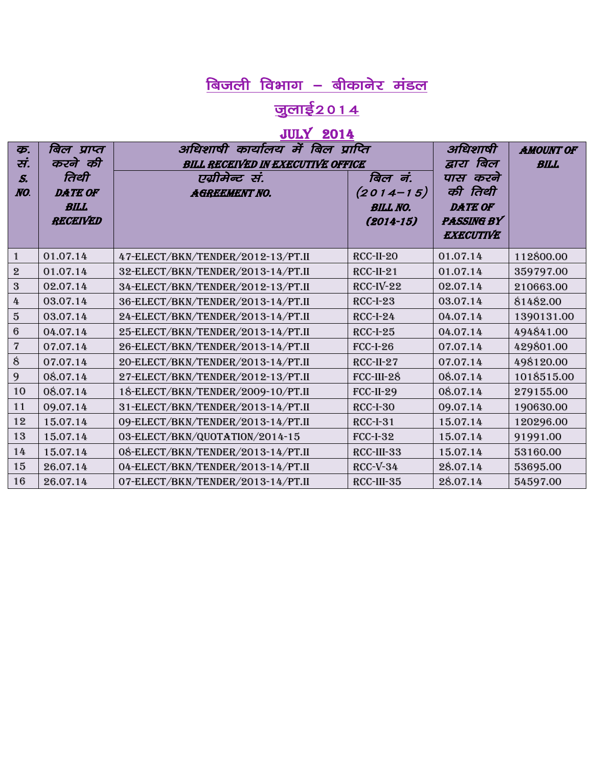# <u>जुलाई2014</u>

## JULY 2014

| <b>कृ.</b>              | बिल प्राप्त    | अधिशाषी कार्यालय में बिल प्राप्ति        |                  | अधिशाषी           | <b>AMOUNT OF</b> |
|-------------------------|----------------|------------------------------------------|------------------|-------------------|------------------|
| सं.                     | करने की        | <b>BILL RECEIVED IN EXECUTIVE OFFICE</b> |                  | बिल<br>द्वारा     | <b>BILL</b>      |
| S.                      | तिथी           | एग्रीमेन्ट सं.                           | बिल नं.          | करने<br>पास       |                  |
| NO.                     | <b>DATE OF</b> | <b>AGREEMENT NO.</b>                     | $(2014 - 15)$    | की तिथी           |                  |
|                         | <b>BILL</b>    |                                          | <b>BILL NO.</b>  | <b>DATE OF</b>    |                  |
|                         | RECEIVED       |                                          | $(2014 - 15)$    | <b>PASSING BY</b> |                  |
|                         |                |                                          |                  | <b>EXECUTIVE</b>  |                  |
| $\mathbf{1}$            | 01.07.14       | 47-ELECT/BKN/TENDER/2012-13/PT.II        | RCC-II-20        | 01.07.14          | 112800.00        |
| $\mathbf 2$             | 01.07.14       | 32-ELECT/BKN/TENDER/2013-14/PT.II        | $RCC-II-21$      | 01.07.14          | 359797.00        |
| $\mathbf{3}$            | 02.07.14       | 34-ELECT/BKN/TENDER/2012-13/PT.II        | $RCC-IV-22$      | 02.07.14          | 210663.00        |
| 4                       | 03.07.14       | 36-ELECT/BKN/TENDER/2013-14/PT.II        | $RCC-I-23$       | 03.07.14          | 81482.00         |
| $\bf 5$                 | 03.07.14       | 24-ELECT/BKN/TENDER/2013-14/PT.II        | <b>RCC-I-24</b>  | 04.07.14          | 1390131.00       |
| $6\phantom{.}6$         | 04.07.14       | 25-ELECT/BKN/TENDER/2013-14/PT.II        | $RCC-I-25$       | 04.07.14          | 494841.00        |
| $\overline{\mathbf{7}}$ | 07.07.14       | 26-ELECT/BKN/TENDER/2013-14/PT.II        | <b>FCC-I-26</b>  | 07.07.14          | 429801.00        |
| $\hat{8}$               | 07.07.14       | 20-ELECT/BKN/TENDER/2013-14/PT.II        | RCC-II-27        | 07.07.14          | 498120.00        |
| 9                       | 08.07.14       | 27-ELECT/BKN/TENDER/2012-13/PT.II        | FCC-III-28       | 08.07.14          | 1018515.00       |
| 10                      | 08.07.14       | 18-ELECT/BKN/TENDER/2009-10/PT.II        | <b>FCC-II-29</b> | 08.07.14          | 279155.00        |
| 11                      | 09.07.14       | 31-ELECT/BKN/TENDER/2013-14/PT.II        | RCC-I-30         | 09.07.14          | 190630.00        |
| 12                      | 15.07.14       | 09-ELECT/BKN/TENDER/2013-14/PT.II        | <b>RCC-I-31</b>  | 15.07.14          | 120296.00        |
| 13                      | 15.07.14       | 03-ELECT/BKN/QUOTATION/2014-15           | <b>FCC-I-32</b>  | 15.07.14          | 91991.00         |
| 14                      | 15.07.14       | 08-ELECT/BKN/TENDER/2013-14/PT.II        | RCC-III-33       | 15.07.14          | 53160.00         |
| 15                      | 26.07.14       | 04-ELECT/BKN/TENDER/2013-14/PT.II        | $RCC-V-34$       | 28.07.14          | 53695.00         |
| 16                      | 26.07.14       | 07-ELECT/BKN/TENDER/2013-14/PT.II        | RCC-III-35       | 28.07.14          | 54597.00         |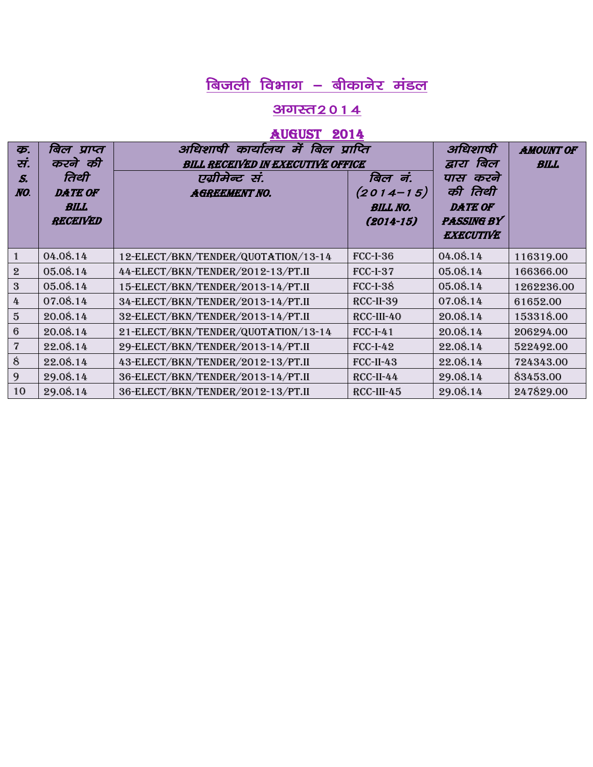#### <u>अगस्त २०१४</u>

#### August 2014

| क.<br>स.<br>S.<br>NO. | बिल प्राप्त<br>करने की<br>तिथी<br><b>DATE OF</b><br><b>BILL</b><br>RECEIVED | अधिशाषी कार्यालय में बिल प्राप्ति<br><b>BILL RECEIVED IN EXECUTIVE OFFICE</b><br>एग्रीमेन्ट सं.<br><b>AGREEMENT NO.</b> | बिल नं.<br>$(2014 - 15)$<br><b>BILL NO.</b><br>$(2014 - 15)$ | अधिशाषी<br>बिल<br>द्वारा<br>करने<br>पास<br>की तिथी<br><b>DATE OF</b><br><b>PASSING BY</b><br><b>EXECUTIVE</b> | <b>AMOUNT OF</b><br><b>BILL</b> |
|-----------------------|-----------------------------------------------------------------------------|-------------------------------------------------------------------------------------------------------------------------|--------------------------------------------------------------|---------------------------------------------------------------------------------------------------------------|---------------------------------|
|                       | 04.08.14                                                                    | 12-ELECT/BKN/TENDER/QUOTATION/13-14                                                                                     | $FCC-I-36$                                                   | 04.08.14                                                                                                      | 116319.00                       |
| $\mathbf{2}$          | 05.08.14                                                                    | 44-ELECT/BKN/TENDER/2012-13/PT.II                                                                                       | <b>FCC-I-37</b>                                              | 05.08.14                                                                                                      | 166366.00                       |
| 3                     | 05.08.14                                                                    | 15-ELECT/BKN/TENDER/2013-14/PT.II                                                                                       | $FCC-I-38$                                                   | 05.08.14                                                                                                      | 1262236.00                      |
| 4                     | 07.08.14                                                                    | 34-ELECT/BKN/TENDER/2013-14/PT.II                                                                                       | RCC-II-39                                                    | 07.08.14                                                                                                      | 61652.00                        |
| $\overline{5}$        | 20.08.14                                                                    | 32-ELECT/BKN/TENDER/2013-14/PT.II                                                                                       | RCC-III-40                                                   | 20.08.14                                                                                                      | 153318.00                       |
| 6                     | 20.08.14                                                                    | 21-ELECT/BKN/TENDER/QUOTATION/13-14                                                                                     | <b>FCC-I-41</b>                                              | 20.08.14                                                                                                      | 206294.00                       |
| 7                     | 22.08.14                                                                    | 29-ELECT/BKN/TENDER/2013-14/PT.II                                                                                       | $FCC-I-42$                                                   | 22.08.14                                                                                                      | 522492.00                       |
| 8                     | 22.08.14                                                                    | 43-ELECT/BKN/TENDER/2012-13/PT.II                                                                                       | $FCC-II-43$                                                  | 22.08.14                                                                                                      | 724343.00                       |
| 9                     | 29.08.14                                                                    | 36-ELECT/BKN/TENDER/2013-14/PT.II                                                                                       | RCC-II-44                                                    | 29.08.14                                                                                                      | 83453.00                        |
| 10                    | 29.08.14                                                                    | 36-ELECT/BKN/TENDER/2012-13/PT.II                                                                                       | RCC-III-45                                                   | 29.08.14                                                                                                      | 247829.00                       |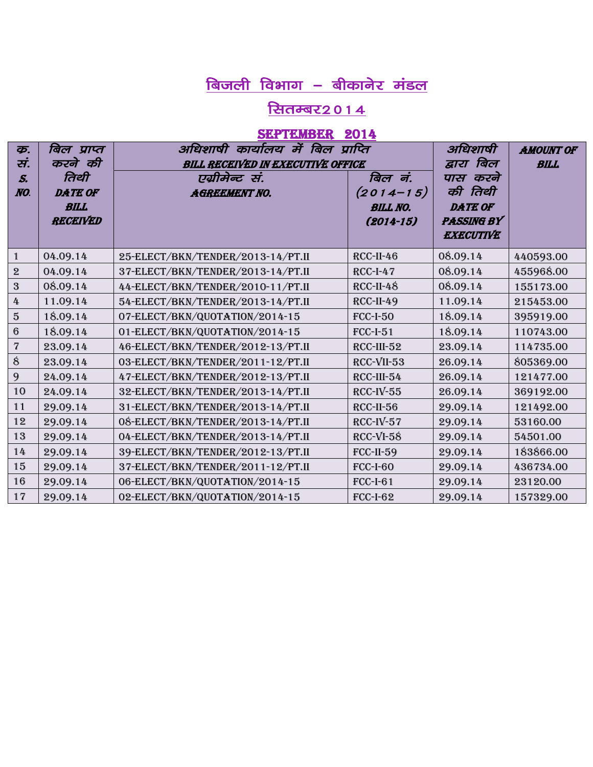#### <u> सितम्बर2014</u>

#### SEPTEMBER 2014

| <b>कृ.</b><br>सं.       | बिल प्राप्त<br>करने की                            | अधिशाषी कार्यालय में बिल प्राप्ति<br><b>BILL RECEIVED IN EXECUTIVE OFFICE</b> | अधिशाषी<br>द्वारा बिल                                        | <b>AMOUNT OF</b><br><b>BILL</b>                                                |           |
|-------------------------|---------------------------------------------------|-------------------------------------------------------------------------------|--------------------------------------------------------------|--------------------------------------------------------------------------------|-----------|
| $S_{\cdot}$<br>NO.      | तिथी<br><b>DATE OF</b><br><b>BILL</b><br>RECEIVED | एग्रीमेन्ट सं.<br><b>AGREEMENT NO.</b>                                        | बिल नं.<br>$(2014 - 15)$<br><b>BILL NO.</b><br>$(2014 - 15)$ | पास करने<br>की तिथी<br><b>DATE OF</b><br><b>PASSING BY</b><br><b>EXECUTIVE</b> |           |
| $\mathbf{1}$            | 04.09.14                                          | 25-ELECT/BKN/TENDER/2013-14/PT.II                                             | RCC-II-46                                                    | 08.09.14                                                                       | 440593.00 |
| $\mathbf 2$             | 04.09.14                                          | 37-ELECT/BKN/TENDER/2013-14/PT.II                                             | $RCC-I-47$                                                   | 08.09.14                                                                       | 455968.00 |
| $\overline{3}$          | 08.09.14                                          | 44-ELECT/BKN/TENDER/2010-11/PT.II                                             | $RCC-II-48$                                                  | 08.09.14                                                                       | 155173.00 |
| 4                       | 11.09.14                                          | 54-ELECT/BKN/TENDER/2013-14/PT.II                                             | $RCC-II-49$                                                  | 11.09.14                                                                       | 215453.00 |
| $\sqrt{5}$              | 18.09.14                                          | 07-ELECT/BKN/QUOTATION/2014-15                                                | <b>FCC-I-50</b>                                              | 18.09.14                                                                       | 395919.00 |
| $6\phantom{.}6$         | 18.09.14                                          | 01-ELECT/BKN/QUOTATION/2014-15                                                | $FCC-I-51$                                                   | 18.09.14                                                                       | 110743.00 |
| $\overline{\mathbf{7}}$ | 23.09.14                                          | 46-ELECT/BKN/TENDER/2012-13/PT.II                                             | RCC-III-52                                                   | 23.09.14                                                                       | 114735.00 |
| 8                       | 23.09.14                                          | 03-ELECT/BKN/TENDER/2011-12/PT.II                                             | RCC-VII-53                                                   | 26.09.14                                                                       | 805369.00 |
| 9                       | 24.09.14                                          | 47-ELECT/BKN/TENDER/2012-13/PT.II                                             | RCC-III-54                                                   | 26.09.14                                                                       | 121477.00 |
| 10                      | 24.09.14                                          | 32-ELECT/BKN/TENDER/2013-14/PT.II                                             | $RCC-IV-55$                                                  | 26.09.14                                                                       | 369192.00 |
| 11                      | 29.09.14                                          | 31-ELECT/BKN/TENDER/2013-14/PT.II                                             | RCC-II-56                                                    | 29.09.14                                                                       | 121492.00 |
| 12                      | 29.09.14                                          | 08-ELECT/BKN/TENDER/2013-14/PT.II                                             | $RCC-IV-57$                                                  | 29.09.14                                                                       | 53160.00  |
| 13                      | 29.09.14                                          | 04-ELECT/BKN/TENDER/2013-14/PT.II                                             | RCC-VI-58                                                    | 29.09.14                                                                       | 54501.00  |
| 14                      | 29.09.14                                          | 39-ELECT/BKN/TENDER/2012-13/PT.II                                             | $FCC-II-59$                                                  | 29.09.14                                                                       | 183866.00 |
| 15                      | 29.09.14                                          | 37-ELECT/BKN/TENDER/2011-12/PT.II                                             | <b>FCC-I-60</b>                                              | 29.09.14                                                                       | 436734.00 |
| 16                      | 29.09.14                                          | 06-ELECT/BKN/QUOTATION/2014-15                                                | <b>FCC-I-61</b>                                              | 29.09.14                                                                       | 23120.00  |
| 17                      | 29.09.14                                          | 02-ELECT/BKN/QUOTATION/2014-15                                                | <b>FCC-I-62</b>                                              | 29.09.14                                                                       | 157329.00 |